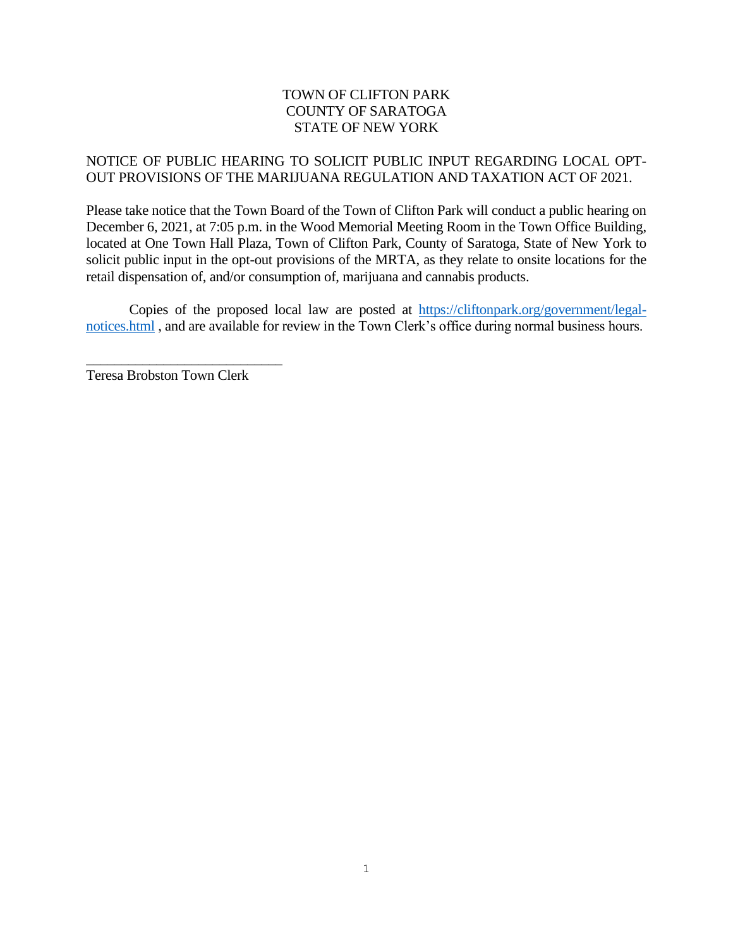### TOWN OF CLIFTON PARK COUNTY OF SARATOGA STATE OF NEW YORK

#### NOTICE OF PUBLIC HEARING TO SOLICIT PUBLIC INPUT REGARDING LOCAL OPT-OUT PROVISIONS OF THE MARIJUANA REGULATION AND TAXATION ACT OF 2021.

Please take notice that the Town Board of the Town of Clifton Park will conduct a public hearing on December 6, 2021, at 7:05 p.m. in the Wood Memorial Meeting Room in the Town Office Building, located at One Town Hall Plaza, Town of Clifton Park, County of Saratoga, State of New York to solicit public input in the opt-out provisions of the MRTA, as they relate to onsite locations for the retail dispensation of, and/or consumption of, marijuana and cannabis products.

Copies of the proposed local law are posted at [https://cliftonpark.org/government/legal](https://cliftonpark.org/government/legal-notices.html)[notices.html](https://cliftonpark.org/government/legal-notices.html) , and are available for review in the Town Clerk's office during normal business hours.

Teresa Brobston Town Clerk

\_\_\_\_\_\_\_\_\_\_\_\_\_\_\_\_\_\_\_\_\_\_\_\_\_\_\_\_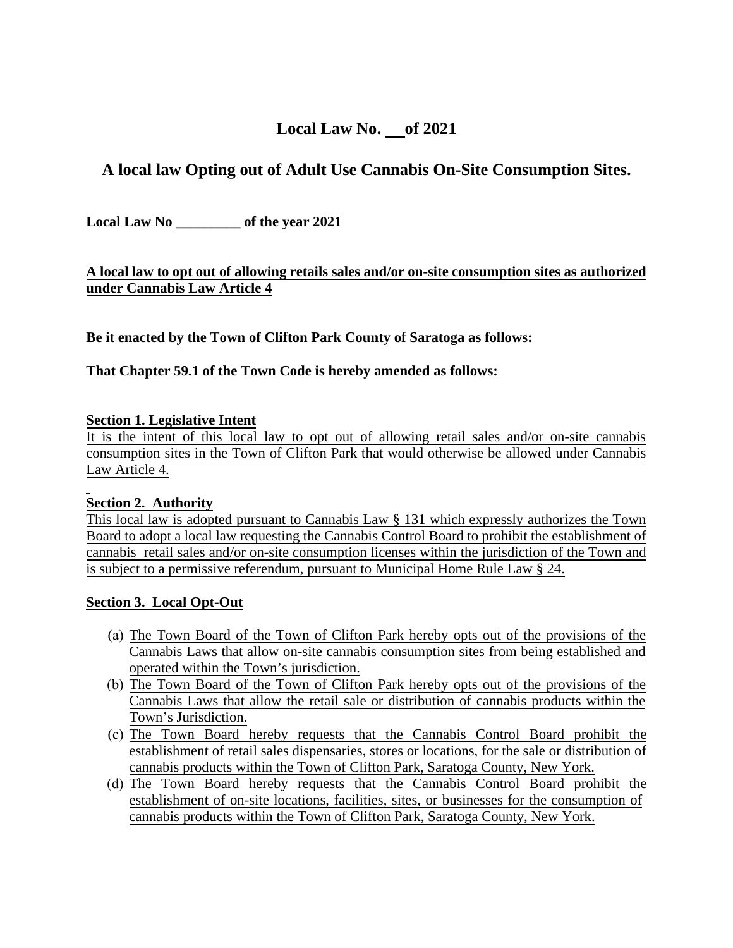## **Local Law No. of 2021**

# **A local law Opting out of Adult Use Cannabis On-Site Consumption Sites.**

**Local Law No \_\_\_\_\_\_\_\_\_ of the year 2021** 

## **A local law to opt out of allowing retails sales and/or on-site consumption sites as authorized under Cannabis Law Article 4**

**Be it enacted by the Town of Clifton Park County of Saratoga as follows:** 

#### **That Chapter 59.1 of the Town Code is hereby amended as follows:**

#### **Section 1. Legislative Intent**

It is the intent of this local law to opt out of allowing retail sales and/or on-site cannabis consumption sites in the Town of Clifton Park that would otherwise be allowed under Cannabis Law Article 4.

#### **Section 2. Authority**

This local law is adopted pursuant to Cannabis Law § 131 which expressly authorizes the Town Board to adopt a local law requesting the Cannabis Control Board to prohibit the establishment of cannabis retail sales and/or on-site consumption licenses within the jurisdiction of the Town and is subject to a permissive referendum, pursuant to Municipal Home Rule Law § 24.

#### **Section 3. Local Opt-Out**

- (a) The Town Board of the Town of Clifton Park hereby opts out of the provisions of the Cannabis Laws that allow on-site cannabis consumption sites from being established and operated within the Town's jurisdiction.
- (b) The Town Board of the Town of Clifton Park hereby opts out of the provisions of the Cannabis Laws that allow the retail sale or distribution of cannabis products within the Town's Jurisdiction.
- (c) The Town Board hereby requests that the Cannabis Control Board prohibit the establishment of retail sales dispensaries, stores or locations, for the sale or distribution of cannabis products within the Town of Clifton Park, Saratoga County, New York.
- (d) The Town Board hereby requests that the Cannabis Control Board prohibit the establishment of on-site locations, facilities, sites, or businesses for the consumption of cannabis products within the Town of Clifton Park, Saratoga County, New York.